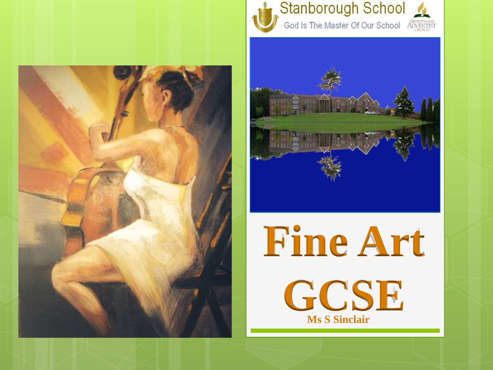





**Fine Art GCSE Ms S Sinclair**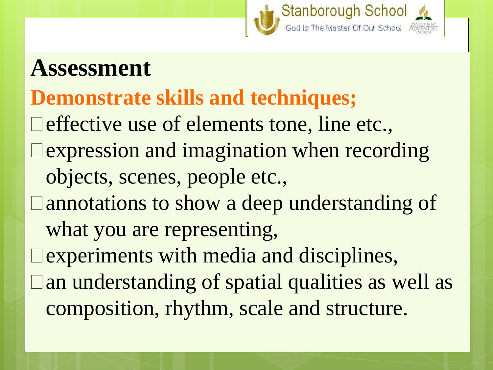

## **Assessment**

### **Demonstrate skills and techniques;**

 $\Box$  effective use of elements tone, line etc., expression and imagination when recording objects, scenes, people etc., annotations to show a deep understanding of what you are representing, experiments with media and disciplines, an understanding of spatial qualities as well as composition, rhythm, scale and structure.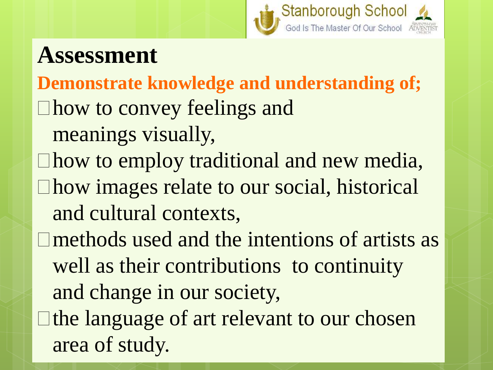

# **Assessment**

**Demonstrate knowledge and understanding of;** how to convey feelings and

- meanings visually,
- $\Box$  how to employ traditional and new media, how images relate to our social, historical and cultural contexts,

methods used and the intentions of artists as well as their contributions to continuity and change in our society,  $\Box$  the language of art relevant to our chosen area of study.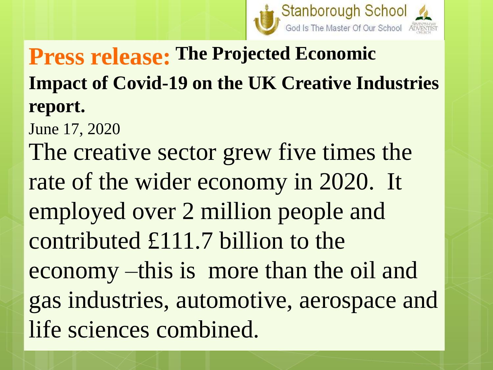

# **Press release: The Projected Economic Impact of Covid-19 on the UK Creative Industries report.**

June 17, 2020

The creative sector grew five times the rate of the wider economy in 2020. It employed over 2 million people and contributed £111.7 billion to the economy –this is more than the oil and gas industries, automotive, aerospace and life sciences combined.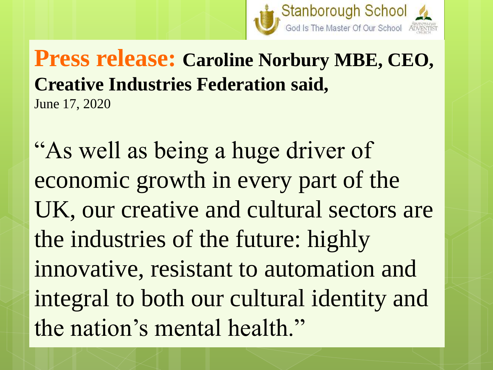

#### **Press release: Caroline Norbury MBE, CEO, Creative Industries Federation said,** June 17, 2020

"As well as being a huge driver of economic growth in every part of the UK, our creative and cultural sectors are the industries of the future: highly innovative, resistant to automation and integral to both our cultural identity and the nation's mental health."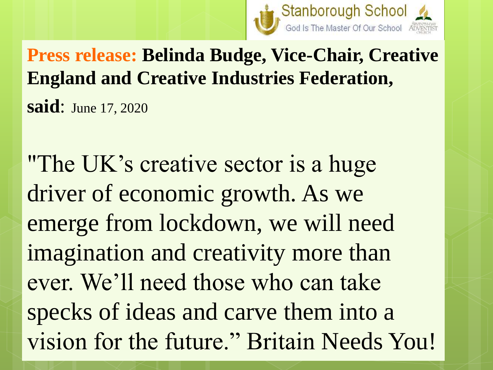

**Press release: Belinda Budge, Vice-Chair, Creative England and Creative Industries Federation, said**: June 17, 2020

"The UK's creative sector is a huge driver of economic growth. As we emerge from lockdown, we will need imagination and creativity more than ever. We'll need those who can take specks of ideas and carve them into a vision for the future." Britain Needs You!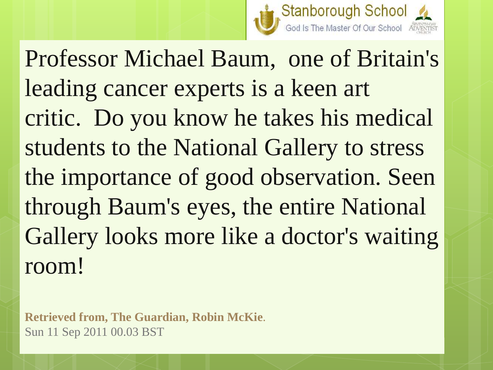

Professor Michael Baum, one of Britain's leading cancer experts is a keen art critic. Do you know he takes his medical students to the National Gallery to stress the importance of good observation. Seen through Baum's eyes, the entire National Gallery looks more like a doctor's waiting room!

**Retrieved from, The Guardian, Robin McKie***.* Sun 11 Sep 2011 00.03 BST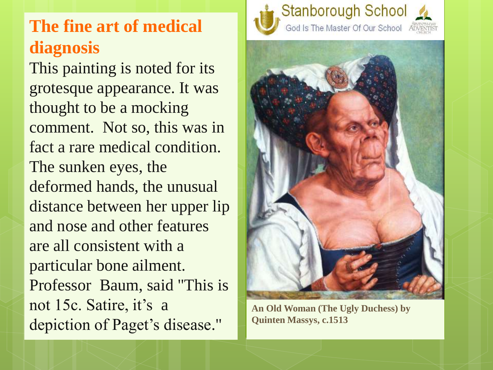#### **The fine art of medical diagnosis**

This painting is noted for its grotesque appearance. It was thought to be a mocking comment. Not so, this was in fact a rare medical condition. The sunken eyes, the deformed hands, the unusual distance between her upper lip and nose and other features are all consistent with a particular bone ailment. Professor Baum, said "This is not 15c. Satire, it's a depiction of Paget's disease."





**An Old Woman (The Ugly Duchess) by Quinten Massys, c.1513**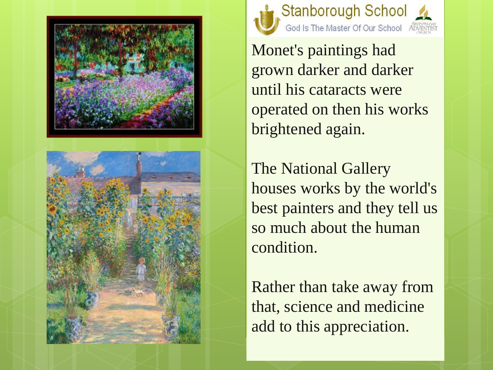





Monet's paintings had grown darker and darker until his cataracts were operated on then his works brightened again.

The National Gallery houses works by the world's best painters and they tell us so much about the human condition.

Rather than take away from that, science and medicine add to this appreciation.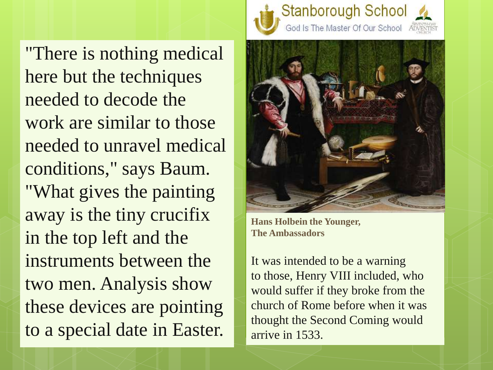"There is nothing medical here but the techniques needed to decode the work are similar to those needed to unravel medical conditions," says Baum. "What gives the painting away is the tiny crucifix in the top left and the instruments between the two men. Analysis show these devices are pointing to a special date in Easter.





**Hans Holbein the Younger, The Ambassadors**

It was intended to be a warning to those, Henry VIII included, who would suffer if they broke from the church of Rome before when it was thought the Second Coming would arrive in 1533.